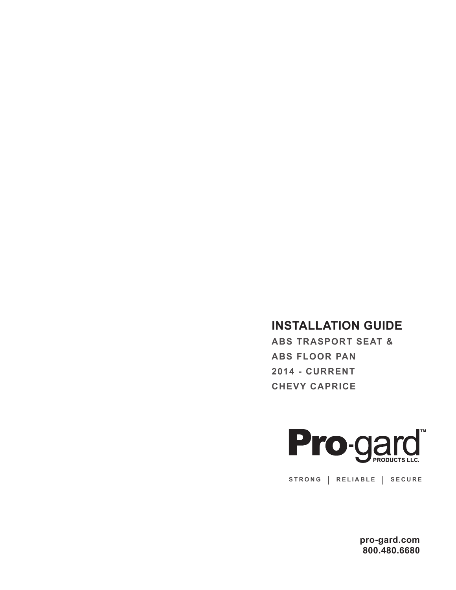## **INSTALLATION GUIDE**

**ABS TRASPORT SEAT & ABS FLOOR PAN 2014 - CURRENT CHEVY CAPRICE**



**STRONG | RELIABLE | SECURE**

**pro-gard.com 800.480.6680**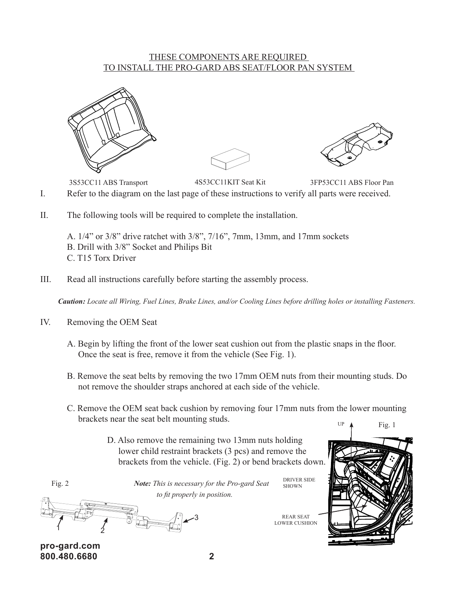## THESE COMPONENTS ARE REQUIRED <u>TO INSTALL THE PRO-GARD ABS SEAT/FLOOR PAN SYSTEM</u>



I. Refer to the diagram on the last page of these instructions to verify all parts were received. 4S53CC11KIT Seat Kit 3FP53CC11 ABS Floor Pan 3S53CC11 ABS Transport

II. The following tools will be required to complete the installation. 4

A. 1/4" or 3/8" drive ratchet with 3/8", 7/16", 7mm, 13mm, and 17mm sockets B. Drill with 3/8" Socket and Philips Bit C. T15 Torx Driver

III. Read all instructions carefully before starting the assembly process.

*Caution: Locate all Wiring, Fuel Lines, Brake Lines, and/or Cooling Lines before drilling holes or installing Fasteners.*

- IV. Removing the OEM Seat
	- A. Begin by lifting the front of the lower seat cushion out from the plastic snaps in the floor. Once the seat is free, remove it from the vehicle (See Fig. 1).
	- B. Remove the seat belts by removing the two 17mm OEM nuts from their mounting studs. Do not remove the shoulder straps anchored at each side of the vehicle.
	- C. Remove the OEM seat back cushion by removing four 17mm nuts from the lower mounting brackets near the seat belt mounting studs. UP  $\uparrow$  Fig. 1
		- D. Also remove the remaining two 13mm nuts holding lower child restraint brackets (3 pcs) and remove the brackets from the vehicle. (Fig. 2) or bend brackets down.

Fig. 2

 *Note: This is necessary for the Pro-gard Seat to fit properly in position.*



**pro-gard.com 800.480.6680 2**

REAR SEAT LOWER CUSHION

DRIVER SIDE SHOWN

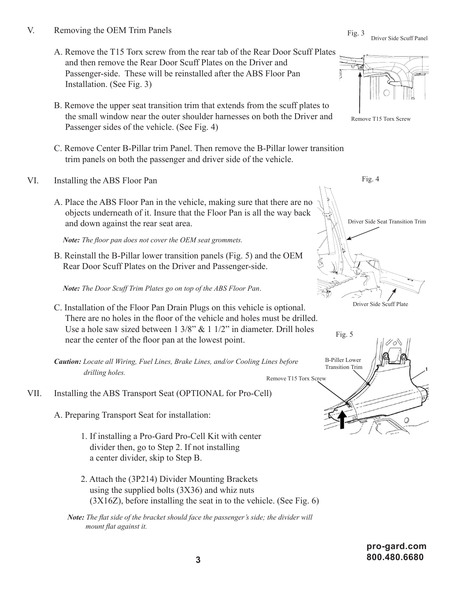- V. Removing the OEM Trim Panels
	- A. Remove the T15 Torx screw from the rear tab of the Rear Door Scuff Plates and then remove the Rear Door Scuff Plates on the Driver and Passenger-side. These will be reinstalled after the ABS Floor Pan Installation. (See Fig. 3)
	- B. Remove the upper seat transition trim that extends from the scuff plates to the small window near the outer shoulder harnesses on both the Driver and Passenger sides of the vehicle. (See Fig. 4)
	- C. Remove Center B-Pillar trim Panel. Then remove the B-Pillar lower transition trim panels on both the passenger and driver side of the vehicle.
- VI. Installing the ABS Floor Pan
	- A. Place the ABS Floor Pan in the vehicle, making sure that there are no objects underneath of it. Insure that the Floor Pan is all the way back and down against the rear seat area.

*Note: The floor pan does not cover the OEM seat grommets.*

B. Reinstall the B-Pillar lower transition panels (Fig. 5) and the OEM Rear Door Scuff Plates on the Driver and Passenger-side.

*Note: The Door Scuff Trim Plates go on top of the ABS Floor Pan*.

C. Installation of the Floor Pan Drain Plugs on this vehicle is optional. There are no holes in the floor of the vehicle and holes must be drilled. Use a hole saw sized between  $1 \frac{3}{8}$ " &  $1 \frac{1}{2}$ " in diameter. Drill holes near the center of the floor pan at the lowest point.

*Caution: Locate all Wiring, Fuel Lines, Brake Lines, and/or Cooling Lines before drilling holes.*

VII. Installing the ABS Transport Seat (OPTIONAL for Pro-Cell)

A. Preparing Transport Seat for installation:

- 1. If installing a Pro-Gard Pro-Cell Kit with center divider then, go to Step 2. If not installing a center divider, skip to Step B.
- 2. Attach the (3P214) Divider Mounting Brackets using the supplied bolts (3X36) and whiz nuts  $(3X16Z)$ , before installing the seat in to the vehicle. (See Fig. 6)

 *Note: The flat side of the bracket should face the passenger's side; the divider will mount flat against it.*

Remove T15 Torx Screw



Fig. 4

Driver Side Scuff Plate



Fig. 3 Driver Side Scuff Panel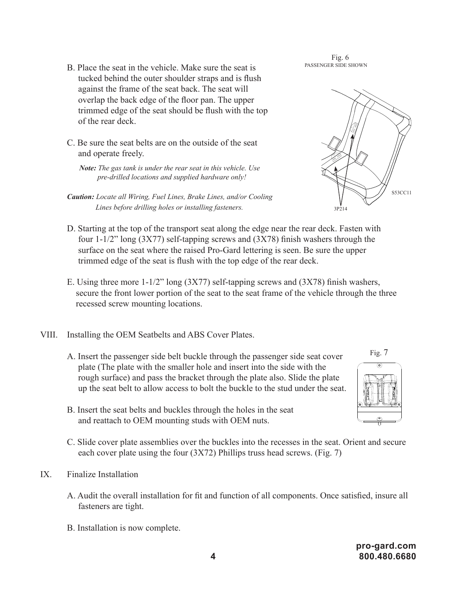- B. Place the seat in the vehicle. Make sure the seat is tucked behind the outer shoulder straps and is flush against the frame of the seat back. The seat will overlap the back edge of the floor pan. The upper trimmed edge of the seat should be flush with the top of the rear deck.
- C. Be sure the seat belts are on the outside of the seat and operate freely.
	- *Note: The gas tank is under the rear seat in this vehicle. Use pre-drilled locations and supplied hardware only!*
- *Caution: Locate all Wiring, Fuel Lines, Brake Lines, and/or Cooling Lines before drilling holes or installing fasteners.*
- D. Starting at the top of the transport seat along the edge near the rear deck. Fasten with four 1-1/2" long (3X77) self-tapping screws and (3X78) finish washers through the surface on the seat where the raised Pro-Gard lettering is seen. Be sure the upper trimmed edge of the seat is flush with the top edge of the rear deck.
- E. Using three more 1-1/2" long (3X77) self-tapping screws and (3X78) finish washers, secure the front lower portion of the seat to the seat frame of the vehicle through the three recessed screw mounting locations.
- VIII. Installing the OEM Seatbelts and ABS Cover Plates.
	- A. Insert the passenger side belt buckle through the passenger side seat cover plate (The plate with the smaller hole and insert into the side with the rough surface) and pass the bracket through the plate also. Slide the plate up the seat belt to allow access to bolt the buckle to the stud under the seat.
	- B. Insert the seat belts and buckles through the holes in the seat and reattach to OEM mounting studs with OEM nuts.
	- C. Slide cover plate assemblies over the buckles into the recesses in the seat. Orient and secure each cover plate using the four (3X72) Phillips truss head screws. (Fig. 7)
- IX. Finalize Installation
	- A. Audit the overall installation for fit and function of all components. Once satisfied, insure all fasteners are tight.
	- B. Installation is now complete.

## Fig. 6 PASSENGER SIDE SHOWN